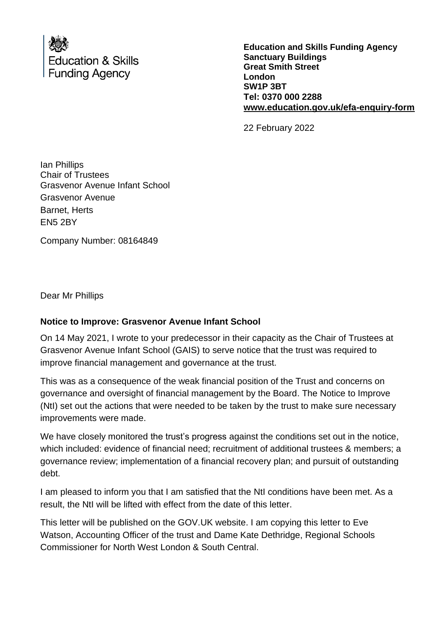

**Education and Skills Funding Agency Sanctuary Buildings Great Smith Street London SW1P 3BT Tel: 0370 000 2288 [www.education.gov.uk/efa-enquiry-form](http://www.education.gov.uk/efa-enquiry-form)**

22 February 2022

Ian Phillips Chair of Trustees Grasvenor Avenue Infant School Grasvenor Avenue Barnet, Herts EN5 2BY

Company Number: 08164849

Dear Mr Phillips

## **Notice to Improve: Grasvenor Avenue Infant School**

On 14 May 2021, I wrote to your predecessor in their capacity as the Chair of Trustees at Grasvenor Avenue Infant School (GAIS) to serve notice that the trust was required to improve financial management and governance at the trust.

This was as a consequence of the weak financial position of the Trust and concerns on governance and oversight of financial management by the Board. The Notice to Improve (NtI) set out the actions that were needed to be taken by the trust to make sure necessary improvements were made.

We have closely monitored the trust's progress against the conditions set out in the notice, which included: evidence of financial need; recruitment of additional trustees & members; a governance review; implementation of a financial recovery plan; and pursuit of outstanding debt.

I am pleased to inform you that I am satisfied that the NtI conditions have been met. As a result, the NtI will be lifted with effect from the date of this letter.

This letter will be published on the GOV.UK website. I am copying this letter to Eve Watson, Accounting Officer of the trust and Dame Kate Dethridge, Regional Schools Commissioner for North West London & South Central.